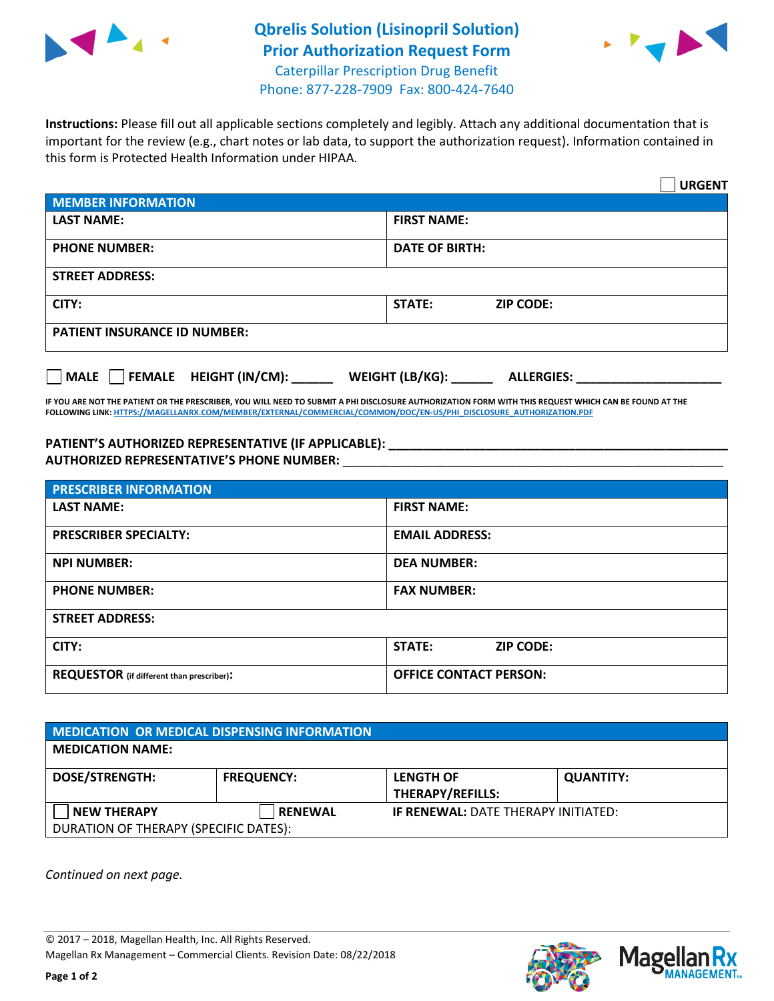

## **Qbrelis Solution (Lisinopril Solution) Prior Authorization Request Form** Caterpillar Prescription Drug Benefit



Phone: 877-228-7909 Fax: 800-424-7640

**Instructions:** Please fill out all applicable sections completely and legibly. Attach any additional documentation that is important for the review (e.g., chart notes or lab data, to support the authorization request). Information contained in this form is Protected Health Information under HIPAA.

|                                                | <b>URGENT</b>                        |  |  |  |
|------------------------------------------------|--------------------------------------|--|--|--|
| <b>MEMBER INFORMATION</b>                      |                                      |  |  |  |
| <b>LAST NAME:</b>                              | <b>FIRST NAME:</b>                   |  |  |  |
| <b>PHONE NUMBER:</b>                           | <b>DATE OF BIRTH:</b>                |  |  |  |
| <b>STREET ADDRESS:</b>                         |                                      |  |  |  |
| CITY:                                          | <b>STATE:</b><br><b>ZIP CODE:</b>    |  |  |  |
| <b>PATIENT INSURANCE ID NUMBER:</b>            |                                      |  |  |  |
| $\Box$ FEMALE HEIGHT (IN/CM): _<br><b>MALE</b> | WEIGHT (LB/KG):<br><b>ALLERGIES:</b> |  |  |  |

**IF YOU ARE NOT THE PATIENT OR THE PRESCRIBER, YOU WILL NEED TO SUBMIT A PHI DISCLOSURE AUTHORIZATION FORM WITH THIS REQUEST WHICH CAN BE FOUND AT THE FOLLOWING LINK[: HTTPS://MAGELLANRX.COM/MEMBER/EXTERNAL/COMMERCIAL/COMMON/DOC/EN-US/PHI\\_DISCLOSURE\\_AUTHORIZATION.PDF](https://magellanrx.com/member/external/commercial/common/doc/en-us/PHI_Disclosure_Authorization.pdf)**

**PATIENT'S AUTHORIZED REPRESENTATIVE (IF APPLICABLE): \_\_\_\_\_\_\_\_\_\_\_\_\_\_\_\_\_\_\_\_\_\_\_\_\_\_\_\_\_\_\_\_\_\_\_\_\_\_\_\_\_\_\_\_\_\_\_\_\_ AUTHORIZED REPRESENTATIVE'S PHONE NUMBER:** \_\_\_\_\_\_\_\_\_\_\_\_\_\_\_\_\_\_\_\_\_\_\_\_\_\_\_\_\_\_\_\_\_\_\_\_\_\_\_\_\_\_\_\_\_\_\_\_\_\_\_\_\_\_\_

| <b>PRESCRIBER INFORMATION</b>             |                               |  |  |  |
|-------------------------------------------|-------------------------------|--|--|--|
| <b>LAST NAME:</b>                         | <b>FIRST NAME:</b>            |  |  |  |
| <b>PRESCRIBER SPECIALTY:</b>              | <b>EMAIL ADDRESS:</b>         |  |  |  |
| <b>NPI NUMBER:</b>                        | <b>DEA NUMBER:</b>            |  |  |  |
| <b>PHONE NUMBER:</b>                      | <b>FAX NUMBER:</b>            |  |  |  |
| <b>STREET ADDRESS:</b>                    |                               |  |  |  |
| CITY:                                     | STATE:<br><b>ZIP CODE:</b>    |  |  |  |
| REQUESTOR (if different than prescriber): | <b>OFFICE CONTACT PERSON:</b> |  |  |  |

| MEDICATION OR MEDICAL DISPENSING INFORMATION |                   |                                             |                  |  |  |
|----------------------------------------------|-------------------|---------------------------------------------|------------------|--|--|
| <b>MEDICATION NAME:</b>                      |                   |                                             |                  |  |  |
| <b>DOSE/STRENGTH:</b>                        | <b>FREQUENCY:</b> | <b>LENGTH OF</b><br><b>THERAPY/REFILLS:</b> | <b>QUANTITY:</b> |  |  |
| <b>NEW THERAPY</b>                           | <b>RENEWAL</b>    | <b>IF RENEWAL: DATE THERAPY INITIATED:</b>  |                  |  |  |
| DURATION OF THERAPY (SPECIFIC DATES):        |                   |                                             |                  |  |  |

*Continued on next page.*